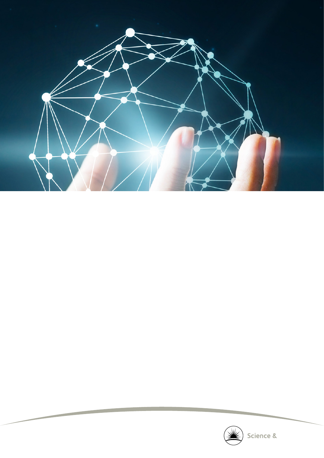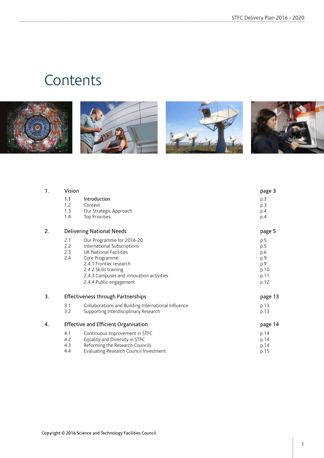# **Contents**









| 1. | Vision                               | page 3                                                                                                                                                                                                                          |                                                         |
|----|--------------------------------------|---------------------------------------------------------------------------------------------------------------------------------------------------------------------------------------------------------------------------------|---------------------------------------------------------|
|    | 1.1<br>1.2<br>1.3<br>1.4             | Introduction<br>Context<br>Our Strategic Approach<br>Top Priorities                                                                                                                                                             | p.3<br>p.3<br>p.4<br>p.4                                |
| 2. |                                      | <b>Delivering National Needs</b>                                                                                                                                                                                                | page 5                                                  |
|    | 2.1<br>2.2<br>2.3<br>2.4             | Our Programme for 2016-20<br>International Subscriptions<br>UK National Facilities<br>Core Programme<br>2.4.1 Frontier research<br>2.4.2 Skills training<br>2.4.3 Campuses and innovation activities<br>2.4.4 Public engagement | p.5<br>p.5<br>p.6<br>p.9<br>p.9<br>p.10<br>p.11<br>p.12 |
| 3. | Effectiveness through Partnerships   | page 13                                                                                                                                                                                                                         |                                                         |
|    | 3.1<br>3.2                           | Collaborations and Building International Influence<br>Supporting Interdisciplinary Research                                                                                                                                    | p.13<br>p.13                                            |
| 4. | Effective and Efficient Organisation | page 14                                                                                                                                                                                                                         |                                                         |
|    | 4.1<br>4.2<br>4.3<br>4.4             | Continuous Improvement in STFC<br>Equality and Diversity in STFC<br>Reforming the Research Councils<br>Evaluating Research Council Investment                                                                                   | p.14<br>p.14<br>p.14<br>p.15                            |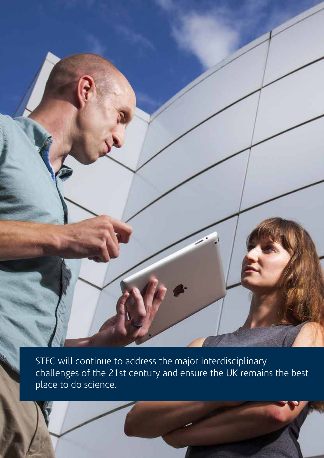STFC will continue to address the major interdisciplinary challenges of the 21st century and ensure the UK remains the best place to do science.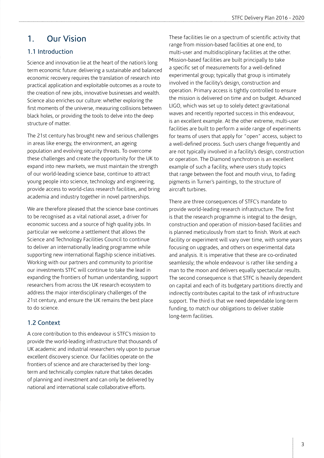## 1. Our Vision

#### 1.1 Introduction

Science and innovation lie at the heart of the nation's long term economic future: delivering a sustainable and balanced economic recovery requires the translation of research into practical application and exploitable outcomes as a route to the creation of new jobs, innovative businesses and wealth. Science also enriches our culture: whether exploring the first moments of the universe, measuring collisions between black holes, or providing the tools to delve into the deep structure of matter.

The 21st century has brought new and serious challenges in areas like energy, the environment, an ageing population and evolving security threats. To overcome these challenges and create the opportunity for the UK to expand into new markets, we must maintain the strength of our world-leading science base, continue to attract young people into science, technology and engineering, provide access to world-class research facilities, and bring academia and industry together in novel partnerships.

We are therefore pleased that the science base continues to be recognised as a vital national asset, a driver for economic success and a source of high quality jobs. In particular we welcome a settlement that allows the Science and Technology Facilities Council to continue to deliver an internationally leading programme while supporting new international flagship science initiatives. Working with our partners and community to prioritise our investments STFC will continue to take the lead in expanding the frontiers of human understanding, support researchers from across the UK research ecosystem to address the major interdisciplinary challenges of the 21st century, and ensure the UK remains the best place to do science.

#### 1.2 Context

A core contribution to this endeavour is STFC's mission to provide the world-leading infrastructure that thousands of UK academic and industrial researchers rely upon to pursue excellent discovery science. Our facilities operate on the frontiers of science and are characterised by their longterm and technically complex nature that takes decades of planning and investment and can only be delivered by national and international scale collaborative efforts.

These facilities lie on a spectrum of scientific activity that range from mission-based facilities at one end, to multi-user and multidisciplinary facilities at the other. Mission-based facilities are built principally to take a specific set of measurements for a well-defined experimental group; typically that group is intimately involved in the facility's design, construction and operation. Primary access is tightly controlled to ensure the mission is delivered on time and on budget. Advanced LIGO, which was set up to solely detect gravitational waves and recently reported success in this endeavour, is an excellent example. At the other extreme, multi-user facilities are built to perform a wide range of experiments for teams of users that apply for "open" access, subject to a well-defined process. Such users change frequently and are not typically involved in a facility's design, construction or operation. The Diamond synchrotron is an excellent example of such a facility, where users study topics that range between the foot and mouth virus, to fading pigments in Turner's paintings, to the structure of aircraft turbines.

There are three consequences of STFC's mandate to provide world-leading research infrastructure. The first is that the research programme is integral to the design, construction and operation of mission-based facilities and is planned meticulously from start to finish. Work at each facility or experiment will vary over time, with some years focusing on upgrades, and others on experimental data and analysis. It is imperative that these are co-ordinated seamlessly; the whole endeavour is rather like sending a man to the moon and delivers equally spectacular results. The second consequence is that STFC is heavily dependent on capital and each of its budgetary partitions directly and indirectly contributes capital to the task of infrastructure support. The third is that we need dependable long-term funding, to match our obligations to deliver stable long-term facilities.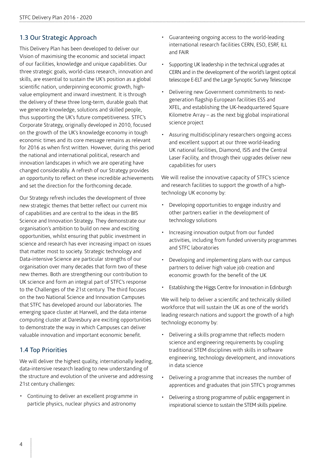#### 1.3 Our Strategic Approach

This Delivery Plan has been developed to deliver our Vision of maximising the economic and societal impact of our facilities, knowledge and unique capabilities. Our three strategic goals, world-class research, innovation and skills, are essential to sustain the UK's position as a global scientific nation, underpinning economic growth, highvalue employment and inward investment. It is through the delivery of these three long-term, durable goals that we generate knowledge, solutions and skilled people, thus supporting the UK's future competitiveness. STFC's Corporate Strategy, originally developed in 2010, focused on the growth of the UK's knowledge economy in tough economic times and its core message remains as relevant for 2016 as when first written. However, during this period the national and international political, research and innovation landscapes in which we are operating have changed considerably. A refresh of our Strategy provides an opportunity to reflect on these incredible achievements and set the direction for the forthcoming decade.

Our Strategy refresh includes the development of three new strategic themes that better reflect our current mix of capabilities and are central to the ideas in the BIS Science and Innovation Strategy. They demonstrate our organisation's ambition to build on new and exciting opportunities, whilst ensuring that public investment in science and research has ever increasing impact on issues that matter most to society. Strategic technology and Data-intensive Science are particular strengths of our organisation over many decades that form two of these new themes. Both are strengthening our contribution to UK science and form an integral part of STFC's response to the Challenges of the 21st century. The third focuses on the two National Science and Innovation Campuses that STFC has developed around our laboratories. The emerging space cluster at Harwell, and the data intense computing cluster at Daresbury are exciting opportunities to demonstrate the way in which Campuses can deliver valuable innovation and important economic benefit.

#### 1.4 Top Priorities

We will deliver the highest quality, internationally leading, data-intensive research leading to new understanding of the structure and evolution of the universe and addressing 21st century challenges:

• Continuing to deliver an excellent programme in particle physics, nuclear physics and astronomy

- Guaranteeing ongoing access to the world-leading international research facilities CERN, ESO, ESRF, ILL and FAIR
- Supporting UK leadership in the technical upgrades at CERN and in the development of the world's largest optical telescope E-ELT and the Large Synoptic Survey Telescope
- Delivering new Government commitments to nextgeneration flagship European facilities ESS and XFEL, and establishing the UK-headquartered Square Kilometre Array – as the next big global inspirational science project
- Assuring multidisciplinary researchers ongoing access and excellent support at our three world-leading UK national facilities, Diamond, ISIS and the Central Laser Facility, and through their upgrades deliver new capabilities for users

We will realise the innovative capacity of STFC's science and research facilities to support the growth of a hightechnology UK economy by:

- Developing opportunities to engage industry and other partners earlier in the development of technology solutions
- Increasing innovation output from our funded activities, including from funded university programmes and STFC laboratories
- Developing and implementing plans with our campus partners to deliver high value job creation and economic growth for the benefit of the UK
- Establishing the Higgs Centre for Innovation in Edinburgh

We will help to deliver a scientific and technically skilled workforce that will sustain the UK as one of the world's leading research nations and support the growth of a high technology economy by:

- Delivering a skills programme that reflects modern science and engineering requirements by coupling traditional STEM disciplines with skills in software engineering, technology development, and innovations in data science
- Delivering a programme that increases the number of apprentices and graduates that join STFC's programmes
- Delivering a strong programme of public engagement in inspirational science to sustain the STEM skills pipeline.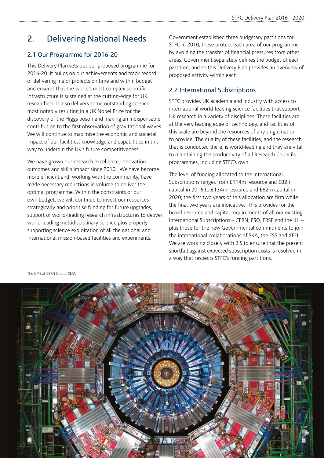## 2. Delivering National Needs

#### 2.1 Our Programme for 2016-20

This Delivery Plan sets out our proposed programme for 2016-20. It builds on our achievements and track record of delivering major projects on time and within budget and ensures that the world's most complex scientific infrastructure is sustained at the cutting-edge for UK researchers. It also delivers some outstanding science; most notably resulting in a UK Nobel Prize for the discovery of the Higgs boson and making an indispensable contribution to the first observation of gravitational waves. We will continue to maximise the economic and societal impact of our facilities, knowledge and capabilities in this way to underpin the UK's future competitiveness.

We have grown our research excellence, innovation outcomes and skills impact since 2010. We have become more efficient and, working with the community, have made necessary reductions in volume to deliver the optimal programme. Within the constraints of our own budget, we will continue to invest our resources strategically and prioritise funding for future upgrades, support of world-leading research infrastructures to deliver world-leading multidisciplinary science plus properly supporting science exploitation of all the national and international mission-based facilities and experiments.

Government established three budgetary partitions for STFC in 2010; these protect each area of our programme by avoiding the transfer of financial pressures from other areas. Government separately defines the budget of each partition, and so this Delivery Plan provides an overview of proposed activity within each.

#### 2.2 International Subscriptions

STFC provides UK academia and industry with access to international world-leading science facilities that support UK research in a variety of disciplines. These facilities are at the very leading edge of technology, and facilities of this scale are beyond the resources of any single nation to provide. The quality of these facilities, and the research that is conducted there, is world-leading and they are vital to maintaining the productivity of all Research Councils' programmes, including STFC's own.

The level of funding allocated to the International Subscriptions ranges from £114m resource and £82m capital in 2016 to £134m resource and £62m capital in 2020; the first two years of this allocation are firm while the final two years are indicative. This provides for the broad resource and capital requirements of all our existing International Subscriptions – CERN, ESO, ERSF and the ILL – plus those for the new Governmental commitments to join the international collaborations of SKA, the ESS and XFEL. We are working closely with BIS to ensure that the present shortfall against expected subscription costs is resolved in a way that respects STFC's funding partitions.



The CMS at CERN Credit: CERN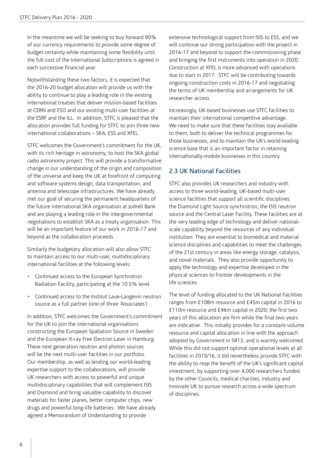In the meantime we will be seeking to buy forward 90% of our currency requirements to provide some degree of budget certainty while maintaining some flexibility until the full cost of the International Subscriptions is agreed in each successive financial year.

Notwithstanding these two factors, it is expected that the 2016-20 budget allocation will provide us with the ability to continue to play a leading role in the existing international treaties that deliver mission-based facilities at CERN and ESO and our existing multi-user facilities at the ESRF and the ILL. In addition, STFC is pleased that the allocation provides full funding for STFC to join three new international collaborations – SKA, ESS and XFEL.

STFC welcomes the Government's commitment for the UK, with its rich heritage in astronomy, to host the SKA global radio astronomy project. This will provide a transformative change in our understanding of the origin and composition of the universe and keep the UK at forefront of computing and software systems design, data transportation, and antenna and telescope infrastructures. We have already met our goal of securing the permanent headquarters of the future international SKA organisation at Jodrell Bank and are playing a leading role in the intergovernmental negotiations to establish SKA as a treaty organisation. This will be an important feature of our work in 2016-17 and beyond as the collaboration proceeds.

Similarly the budgetary allocation will also allow STFC to maintain access to our multi-user, multidisciplinary international facilities at the following levels:

- Continued access to the European Synchrotron Radiation Facility, participating at the 10.5% level
- Continued access to the Institut Laue-Langevin neutron source as a full partner (one of three 'Associates')

In addition, STFC welcomes the Government's commitment for the UK to join the international organisations constructing the European Spallation Source in Sweden and the European X-ray Free Electron Laser in Hamburg. These next generation neutron and photon sources will be the next multi-user facilities in our portfolio. Our membership, as well as lending our world-leading expertise support to the collaborations, will provide UK researchers with access to powerful and unique multidisciplinary capabilities that will complement ISIS and Diamond and bring valuable capability to discover materials for faster planes, better computer chips, new drugs and powerful long-life batteries. We have already agreed a Memorandum of Understanding to provide

extensive technological support from ISIS to ESS, and we will continue our strong participation with the project in 2016-17 and beyond to support the commissioning phase and bringing the first instruments into operation in 2020. Construction at XFEL is more advanced with operations due to start in 2017. STFC will be contributing towards ongoing construction costs in 2016-17 and negotiating the terms of UK membership and arrangements for UK researcher access.

Increasingly, UK-based businesses use STFC facilities to maintain their international competitive advantage. We need to make sure that these facilities stay available to them, both to deliver the technical programmes for those businesses, and to maintain the UK's world-leading science base that is an important factor in retaining internationally-mobile businesses in this country.

#### 2.3 UK National Facilities

STFC also provides UK researchers and industry with access to three world-leading, UK-based multi-user science facilities that support all scientific disciplines: the Diamond Light Source synchrotron, the ISIS neutron source and the Central Laser Facility. These facilities are at the very leading edge of technology and deliver nationalscale capability beyond the resources of any individual institution. They are essential to biomedical and material science disciplines and capabilities to meet the challenges of the 21st century in areas like energy storage, catalysis, and novel materials. They also provide opportunity to apply the technology and expertise developed in the physical sciences to frontier developments in the life sciences.

The level of funding allocated to the UK National Facilities ranges from £108m resource and £45m capital in 2016 to £110m resource and £46m capital in 2020; the first two years of this allocation are firm while the final two years are indicative. This initially provides for a constant-volume resource and capital allocation in line with the approach adopted by Government in SR13, and is warmly welcomed. While this did not support optimal operational levels at all facilities in 2015/16, it did nevertheless provide STFC with the ability to reap the benefit of the UK's significant capital investment, by supporting over 4,000 researchers funded by the other Councils, medical charities, industry and Innovate UK to pursue research across a wide spectrum of disciplines.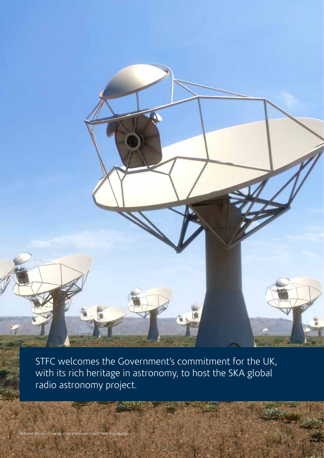STFC welcomes the Government's commitment for the UK, with its rich heritage in astronomy, to host the SKA global radio astronomy project.

8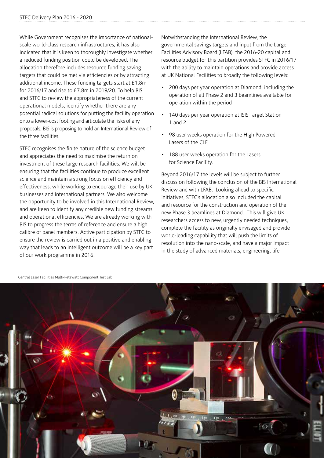While Government recognises the importance of nationalscale world-class research infrastructures, it has also indicated that it is keen to thoroughly investigate whether a reduced funding position could be developed. The allocation therefore includes resource funding saving targets that could be met via efficiencies or by attracting additional income. These funding targets start at £1.8m for 2016/17 and rise to £7.8m in 2019/20. To help BIS and STFC to review the appropriateness of the current operational models, identify whether there are any potential radical solutions for putting the facility operation onto a lower-cost footing and articulate the risks of any proposals, BIS is proposing to hold an International Review of the three facilities.

STFC recognises the finite nature of the science budget and appreciates the need to maximise the return on investment of these large research facilities. We will be ensuring that the facilities continue to produce excellent science and maintain a strong focus on efficiency and effectiveness, while working to encourage their use by UK businesses and international partners. We also welcome the opportunity to be involved in this International Review, and are keen to identify any credible new funding streams and operational efficiencies. We are already working with BIS to progress the terms of reference and ensure a high calibre of panel members. Active participation by STFC to ensure the review is carried out in a positive and enabling way that leads to an intelligent outcome will be a key part of our work programme in 2016.

Notwithstanding the International Review, the governmental savings targets and input from the Large Facilities Advisory Board (LFAB), the 2016-20 capital and resource budget for this partition provides STFC in 2016/17 with the ability to maintain operations and provide access at UK National Facilities to broadly the following levels:

- 200 days per year operation at Diamond, including the operation of all Phase 2 and 3 beamlines available for operation within the period
- 140 days per year operation at ISIS Target Station 1 and 2
- 98 user weeks operation for the High Powered Lasers of the CLF
- 188 user weeks operation for the Lasers for Science Facility.

Beyond 2016/17 the levels will be subject to further discussion following the conclusion of the BIS International Review and with LFAB. Looking ahead to specific initiatives, STFC's allocation also included the capital and resource for the construction and operation of the new Phase 3 beamlines at Diamond. This will give UK researchers access to new, urgently needed techniques, complete the facility as originally envisaged and provide world-leading capability that will push the limits of resolution into the nano-scale, and have a major impact in the study of advanced materials, engineering, life



Central Laser Facilities Multi-Petawatt Component Test Lab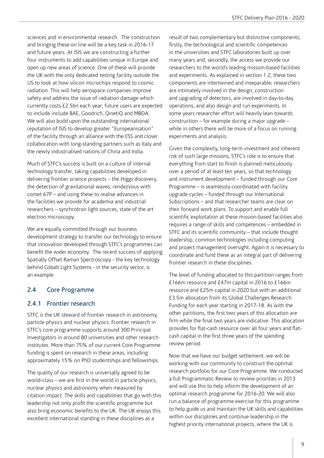sciences and in environmental research. The construction and bringing these on line will be a key task in 2016-17 and future years. At ISIS we are constructing a further four instruments to add capabilities unique in Europe and open up new areas of science. One of these will provide the UK with the only dedicated testing facility outside the US to look at how silicon microchips respond to cosmic radiation. This will help aerospace companies improve safety and address the issue of radiation damage which currently costs £2.5bn each year; future users are expected to include include BAE, Goodrich, QinetiQ and MBDA. We will also build upon the outstanding international reputation of ISIS to develop greater "Europeanisation" of the facility through an alliance with the ESS and closer collaboration with long-standing partners such as Italy and the newly industrialised nations of China and India.

Much of STFC's success is built on a culture of internal technology transfer, taking capabilities developed in delivering frontier science projects – the Higgs discovery, the detection of gravitational waves, rendezvous with comet 67P – and using these to realise advances in the facilities we provide for academia and industrial researchers – synchrotron light sources, state of the art electron microscopy.

We are equally committed through our business development strategy to transfer our technology to ensure that innovation developed through STFC's programmes can benefit the wider economy. The recent success of applying Spatially Offset Raman Spectroscopy - the key technology behind Cobalt Light Systems - in the security sector, is an example.

#### 2.4 Core Programme

#### 2.4.1 Frontier research

STFC is the UK steward of frontier research in astronomy, particle physics and nuclear physics. Frontier research in STFC's core programme supports around 300 Principal Investigators in around 80 universities and other research institutes. More than 75% of our current Core Programme funding is spent on research in these areas, including approximately 15% on PhD studentships and fellowships.

The quality of our research is universally agreed to be world-class – we are first in the world in particle physics, nuclear physics and astronomy when measured by citation impact. The skills and capabilities that go with this leadership not only profit the scientific programme but also bring economic benefits to the UK. The UK enjoys this excellent international standing in these disciplines as a

result of two complementary but distinctive components; firstly, the technological and scientific competences in the universities and STFC laboratories built up over many years and, secondly, the access we provide our researchers to the world's leading mission-based facilities and experiments. As explained in section 1.2, these two components are intertwined and inseparable; researchers are intimately involved in the design, construction and upgrading of detectors, are involved in day-to-day operations, and also design and run experiments. In some years researcher effort will heavily lean towards construction – for example during a major upgrade – while in others there will be more of a focus on running experiments and analysis.

Given the complexity, long-term investment and inherent risk of such large missions, STFC's role is to ensure that everything from start to finish is planned meticulously over a period of at least ten years, so that technology and instrument development – funded through our Core Programme – is seamlessly coordinated with facility upgrade cycles – funded through our International Subscriptions – and that researcher teams are clear on their forward work plans. To support and enable full scientific exploitation at these mission-based facilities also requires a range of skills and competences – embedded in STFC and its scientific community – that include thought leadership, common technologies including computing and project management oversight. Again it is necessary to coordinate and fund these as an integral part of delivering frontier research in these disciplines.

The level of funding allocated to this partition ranges from £166m resource and £47m capital in 2016 to £166m resource and £25m capital in 2020 but with an additional £3.5m allocation from its Global Challenges Research Funding for each year starting in 2017-18. As with the other partitions, the first two years of this allocation are firm while the final two years are indicative. This allocation provides for flat-cash resource over all four years and flatcash capital in the first three years of the spending review period.

Now that we have our budget settlement, we will be working with our community to construct the optimal research portfolio for our Core Programme. We conducted a full Programmatic Review to review priorities in 2013 and will use this to help inform the development of an optimal research programme for 2016-20. We will also run a balance of programme exercise for this programme to help guide us and maintain the UK skills and capabilities within our disciplines and continue leadership in the highest priority international projects, where the UK is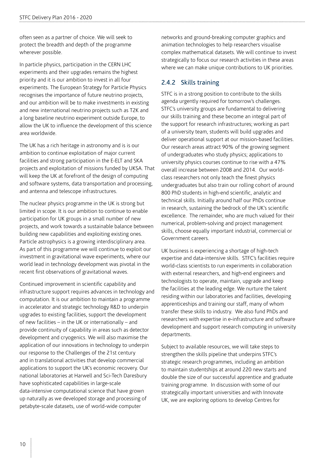often seen as a partner of choice. We will seek to protect the breadth and depth of the programme wherever possible.

In particle physics, participation in the CERN LHC experiments and their upgrades remains the highest priority and it is our ambition to invest in all four experiments. The European Strategy for Particle Physics recognises the importance of future neutrino projects, and our ambition will be to make investments in existing and new international neutrino projects such as T2K and a long baseline neutrino experiment outside Europe, to allow the UK to influence the development of this science area worldwide.

The UK has a rich heritage in astronomy and is is our ambition to continue exploitation of major current facilities and strong participation in the E-ELT and SKA projects and exploitation of missions funded by UKSA. That will keep the UK at forefront of the design of computing and software systems, data transportation and processing, and antenna and telescope infrastructures.

The nuclear physics programme in the UK is strong but limited in scope. It is our ambition to continue to enable participation for UK groups in a small number of new projects, and work towards a sustainable balance between building new capabilities and exploiting existing ones. Particle astrophysics is a growing interdisciplinary area. As part of this programme we will continue to exploit our investment in gravitational wave experiments, where our world lead in technology development was pivotal in the recent first observations of gravitational waves.

Continued improvement in scientific capability and infrastructure support requires advances in technology and computation. It is our ambition to maintain a programme in accelerator and strategic technology R&D to underpin upgrades to existing facilities, support the development of new facilities – in the UK or internationally – and provide continuity of capability in areas such as detector development and cryogenics. We will also maximise the application of our innovations in technology to underpin our response to the Challenges of the 21st century and in translational activities that develop commercial applications to support the UK's economic recovery. Our national laboratories at Harwell and Sci-Tech Daresbury have sophisticated capabilities in large-scale data-intensive computational science that have grown up naturally as we developed storage and processing of petabyte-scale datasets, use of world-wide computer

networks and ground-breaking computer graphics and animation technologies to help researchers visualise complex mathematical datasets. We will continue to invest strategically to focus our research activities in these areas where we can make unique contributions to UK priorities.

#### 2.4.2 Skills training

STFC is in a strong position to contribute to the skills agenda urgently required for tomorrow's challenges. STFC's university groups are fundamental to delivering our skills training and these become an integral part of the support for research infrastructures; working as part of a university team, students will build upgrades and deliver operational support at our mission-based facilities. Our research areas attract 90% of the growing segment of undergraduates who study physics; applications to university physics courses continue to rise with a 47% overall increase between 2008 and 2014. Our worldclass researchers not only teach the finest physics undergraduates but also train our rolling cohort of around 800 PhD students in high-end scientific, analytic and technical skills. Initially around half our PhDs continue in research, sustaining the bedrock of the UK's scientific excellence. The remainder, who are much valued for their numerical, problem-solving and project management skills, choose equally important industrial, commercial or Government careers.

UK business is experiencing a shortage of high-tech expertise and data-intensive skills. STFC's facilities require world-class scientists to run experiments in collaboration with external researchers, and high-end engineers and technologists to operate, maintain, upgrade and keep the facilities at the leading edge. We nurture the talent residing within our laboratories and facilities, developing apprenticeships and training our staff, many of whom transfer these skills to industry. We also fund PhDs and researchers with expertise in e-infrastructure and software development and support research computing in university departments.

Subject to available resources, we will take steps to strengthen the skills pipeline that underpins STFC's strategic research programmes, including an ambition to maintain studentships at around 220 new starts and double the size of our successful apprentice and graduate training programme. In discussion with some of our strategically important universities and with Innovate UK, we are exploring options to develop Centres for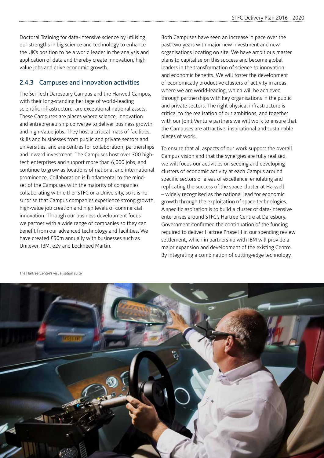Doctoral Training for data-intensive science by utilising our strengths in big science and technology to enhance the UK's position to be a world leader in the analysis and application of data and thereby create innovation, high value jobs and drive economic growth.

#### 2.4.3 Campuses and innovation activities

The Sci-Tech Daresbury Campus and the Harwell Campus, with their long-standing heritage of world-leading scientific infrastructure, are exceptional national assets. These Campuses are places where science, innovation and entrepreneurship converge to deliver business growth and high-value jobs. They host a critical mass of facilities, skills and businesses from public and private sectors and universities, and are centres for collaboration, partnerships and inward investment. The Campuses host over 300 hightech enterprises and support more than 6,000 jobs, and continue to grow as locations of national and international prominence. Collaboration is fundamental to the mindset of the Campuses with the majority of companies collaborating with either STFC or a University, so it is no surprise that Campus companies experience strong growth, high-value job creation and high levels of commercial innovation. Through our business development focus we partner with a wide range of companies so they can benefit from our advanced technology and facilities. We have created £50m annually with businesses such as Unilever, IBM, e2v and Lockheed Martin.

Both Campuses have seen an increase in pace over the past two years with major new investment and new organisations locating on site. We have ambitious master plans to capitalise on this success and become global leaders in the transformation of science to innovation and economic benefits. We will foster the development of economically productive clusters of activity in areas where we are world-leading, which will be achieved through partnerships with key organisations in the public and private sectors. The right physical infrastructure is critical to the realisation of our ambitions, and together with our Joint Venture partners we will work to ensure that the Campuses are attractive, inspirational and sustainable places of work.

To ensure that all aspects of our work support the overall Campus vision and that the synergies are fully realised, we will focus our activities on seeding and developing clusters of economic activity at each Campus around specific sectors or areas of excellence; emulating and replicating the success of the space cluster at Harwell – widely recognised as the national lead for economic growth through the exploitation of space technologies. A specific aspiration is to build a cluster of data-intensive enterprises around STFC's Hartree Centre at Daresbury. Government confirmed the continuation of the funding required to deliver Hartree Phase III in our spending review settlement, which in partnership with IBM will provide a major expansion and development of the existing Centre. By integrating a combination of cutting-edge technology,



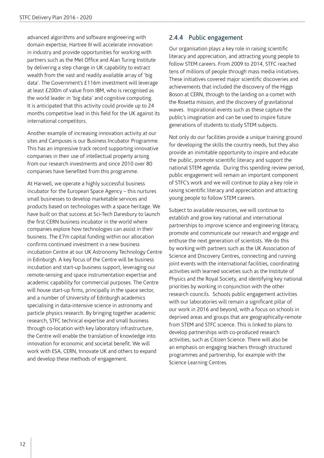advanced algorithms and software engineering with domain expertise, Hartree III will accelerate innovation in industry and provide opportunities for working with partners such as the Met Office and Alan Turing Institute by delivering a step change in UK capability to extract wealth from the vast and readily available array of 'big data'. The Government's £116m investment will leverage at least £200m of value from IBM, who is recognised as the world leader in 'big data' and cognitive computing. It is anticipated that this activity could provide up to 24 months competitive lead in this field for the UK against its international competitors.

Another example of increasing innovation activity at our sites and Campuses is our Business Incubator Programme. This has an impressive track record supporting innovative companies in their use of intellectual property arising from our research investments and since 2010 over 80 companies have benefited from this programme.

At Harwell, we operate a highly successful business incubator for the European Space Agency – this nurtures small businesses to develop marketable services and products based on technologies with a space heritage. We have built on that success at Sci-Tech Daresbury to launch the first CERN business incubator in the world where companies explore how technologies can assist in their business. The £7m capital funding within our allocation confirms continued investment in a new business incubation Centre at our UK Astronomy Technology Centre in Edinburgh. A key focus of the Centre will be business incubation and start-up business support, leveraging our remote-sensing and space instrumentation expertise and academic capability for commercial purposes. The Centre will house start-up firms, principally in the space sector, and a number of University of Edinburgh academics specialising in data-intensive science in astronomy and particle physics research. By bringing together academic research, STFC technical expertise and small business through co-location with key laboratory infrastructure, the Centre will enable the translation of knowledge into innovation for economic and societal benefit. We will work with ESA, CERN, Innovate UK and others to expand and develop these methods of engagement.

#### 2.4.4 Public engagement

Our organisation plays a key role in raising scientific literacy and appreciation, and attracting young people to follow STEM careers. From 2009 to 2014, STFC reached tens of millions of people through mass media initiatives. These initiatives covered major scientific discoveries and achievements that included the discovery of the Higgs Boson at CERN, through to the landing on a comet with the Rosetta mission, and the discovery of gravitational waves. Inspirational events such as these capture the public's imagination and can be used to inspire future generations of students to study STEM subjects.

Not only do our facilities provide a unique training ground for developing the skills the country needs, but they also provide an inimitable opportunity to inspire and educate the public, promote scientific literacy and support the national STEM agenda. During this spending review period, public engagement will remain an important component of STFC's work and we will continue to play a key role in raising scientific literacy and appreciation and attracting young people to follow STEM careers.

Subject to available resources, we will continue to establish and grow key national and international partnerships to improve science and engineering literacy, promote and communicate our research and engage and enthuse the next generation of scientists. We do this by working with partners such as the UK Association of Science and Discovery Centres, connecting and running joint events with the international facilities, coordinating activities with learned societies such as the Institute of Physics and the Royal Society, and identifying key national priorities by working in conjunction with the other research councils. Schools public engagement activities with our laboratories will remain a significant pillar of our work in 2016 and beyond, with a focus on schools in deprived areas and groups that are geographically-remote from STEM and STFC science. This is linked to plans to develop partnerships with co-produced research activities, such as Citizen Science. There will also be an emphasis on engaging teachers through structured programmes and partnership, for example with the Science Learning Centres.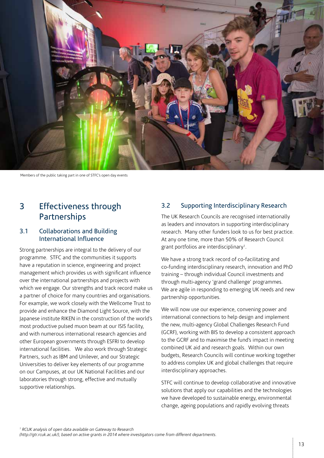

Members of the public taking part in one of STFC's open day events

### 3 Effectiveness through **Partnerships**

#### 3.1 Collaborations and Building International Influence

Strong partnerships are integral to the delivery of our programme. STFC and the communities it supports have a reputation in science, engineering and project management which provides us with significant influence over the international partnerships and projects with which we engage. Our strengths and track record make us a partner of choice for many countries and organisations. For example, we work closely with the Wellcome Trust to provide and enhance the Diamond Light Source, with the Japanese institute RIKEN in the construction of the world's most productive pulsed muon beam at our ISIS facility, and with numerous international research agencies and other European governments through ESFRI to develop international facilities. We also work through Strategic Partners, such as IBM and Unilever, and our Strategic Universities to deliver key elements of our programme on our Campuses, at our UK National Facilities and our laboratories through strong, effective and mutually supportive relationships.

#### 3.2 Supporting Interdisciplinary Research

The UK Research Councils are recognised internationally as leaders and innovators in supporting interdisciplinary research. Many other funders look to us for best practice. At any one time, more than 50% of Research Council grant portfolios are interdisciplinary<sup>1</sup>.

We have a strong track record of co-facilitating and co-funding interdisciplinary research, innovation and PhD training – through individual Council investments and through multi-agency 'grand challenge' programmes. We are agile in responding to emerging UK needs and new partnership opportunities.

We will now use our experience, convening power and international connections to help design and implement the new, multi-agency Global Challenges Research Fund (GCRF), working with BIS to develop a consistent approach to the GCRF and to maximise the fund's impact in meeting combined UK aid and research goals. Within our own budgets, Research Councils will continue working together to address complex UK and global challenges that require interdisciplinary approaches.

STFC will continue to develop collaborative and innovative solutions that apply our capabilities and the technologies we have developed to sustainable energy, environmental change, ageing populations and rapidly evolving threats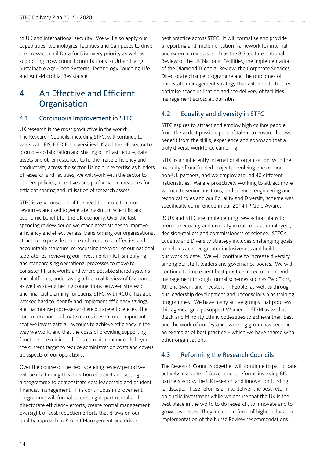to UK and international security. We will also apply our capabilities, technologies, facilities and Campuses to drive the cross-council Data for Discovery priority as well as supporting cross council contributions to Urban Living, Sustainable Agri-Food Systems, Technology Touching Life and Anti-Microbial Resistance.

### 4 An Effective and Efficient **Organisation**

#### 4.1 Continuous Improvement in STFC

UK research is the most productive in the world<sup>2</sup>. The Research Councils, including STFC, will continue to work with BIS, HEFCE, Universities UK and the HEI sector to promote collaboration and sharing of infrastructure, data assets and other resources to further raise efficiency and productivity across the sector. Using our expertise as funders of research and facilities, we will work with the sector to pioneer policies, incentives and performance measures for efficient sharing and utilisation of research assets.

STFC is very conscious of the need to ensure that our resources are used to generate maximum scientific and economic benefit for the UK economy. Over the last spending review period we made great strides to improve efficiency and effectiveness, transforming our organisational structure to provide a more coherent, cost-effective and accountable structure, re-focussing the work of our national laboratories, reviewing our investment in ICT, simplifying and standardising operational processes to move to consistent frameworks and where possible shared systems and platforms, undertaking a Triennial Review of Diamond, as well as strengthening connections between strategic and financial planning functions. STFC, with RCUK, has also worked hard to identify and implement efficiency savings and harmonise processes and encourage efficiencies. The current economic climate makes it even more important that we investigate all avenues to achieve efficiency in the way we work, and that the costs of providing supporting functions are minimised. This commitment extends beyond the current target to reduce administration costs and covers all aspects of our operations.

Over the course of the next spending review period we will be continuing this direction of travel and setting out a programme to demonstrate cost leadership and prudent financial management. This continuous improvement programme will formalise existing departmental and directorate efficiency efforts, create formal management oversight of cost reduction efforts that draws on our quality approach to Project Management and drives

best practice across STFC. It will formalise and provide a reporting and implementation framework for internal and external reviews, such as the BIS led International Review of the UK National Facilities, the implementation of the Diamond Triennial Review, the Corporate Services Directorate change programme and the outcomes of our estate management strategy that will look to further optimise space utilisation and the delivery of facilities management across all our sites.

#### 4.2 Equality and diversity in STFC

STFC aspires to attract and employ high calibre people from the widest possible pool of talent to ensure that we benefit from the skills, experience and approach that a truly diverse workforce can bring.

STFC is an inherently international organisation, with the majority of our funded projects involving one or more non-UK partners, and we employ around 40 different nationalities. We are proactively working to attract more women to senior positions, and science, engineering and technical roles and our Equality and Diversity scheme was specifically commended in our 2014 IiP Gold Award.

RCUK and STFC are implementing new action plans to promote equality and diversity in our roles as employers, decision-makers and commissioners of science. STFC's Equality and Diversity Strategy includes challenging goals to help us achieve greater inclusiveness and build on our work to date. We will continue to increase diversity among our staff, leaders and governance bodies. We will continue to implement best practice in recruitment and management through formal schemes such as Two Ticks, Athena Swan, and Investors in People, as well as through our leadership development and unconscious bias training programmes. We have many active groups that progress this agenda; groups support Women in STEM as well as Black and Minority Ethnic colleagues to achieve their best and the work of our Dyslexic working group has become an exemplar of best practice – which we have shared with other organisations.

#### 4.3 Reforming the Research Councils

The Research Councils together will continue to participate actively in a suite of Government reforms involving BIS partners across the UK research and innovation funding landscape. These reforms aim to deliver the best return on public investment while we ensure that the UK is the best place in the world to do research, to innovate and to grow businesses. They include: reform of higher education; implementation of the Nurse Review recommendations<sup>3</sup>;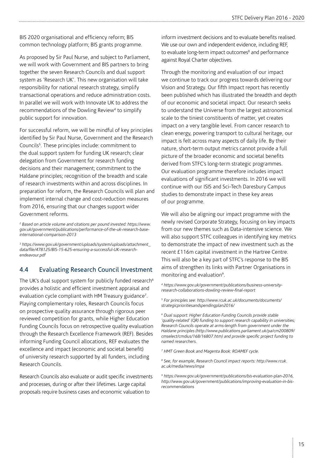BIS 2020 organisational and efficiency reform; BIS common technology platform; BIS grants programme.

As proposed by Sir Paul Nurse, and subject to Parliament, we will work with Government and BIS partners to bring together the seven Research Councils and dual support system as 'Research UK'. This new organisation will take responsibility for national research strategy, simplify transactional operations and reduce administration costs. In parallel we will work with Innovate UK to address the recommendations of the Dowling Review<sup>4</sup> to simplify public support for innovation.

For successful reform, we will be mindful of key principles identified by Sir Paul Nurse, Government and the Research Councils<sup>5</sup>. These principles include: commitment to the dual support system for funding UK research; clear delegation from Government for research funding decisions and their management; commitment to the Haldane principles; recognition of the breadth and scale of research investments within and across disciplines. In preparation for reform, the Research Councils will plan and implement internal change and cost-reduction measures from 2016, ensuring that our changes support wider Government reforms.

*2 Based on article volume and citations per pound invested: [https://www.](https://www.gov.uk/government/publications/performance-of-the-uk-research-base-international-comparison-2013 ) [gov.uk/government/publications/performance-of-the-uk-research-base](https://www.gov.uk/government/publications/performance-of-the-uk-research-base-international-comparison-2013 )[international-comparison-2013](https://www.gov.uk/government/publications/performance-of-the-uk-research-base-international-comparison-2013 )*

*<sup>3</sup> [https://www.gov.uk/government/uploads/system/uploads/attachment\\_](https://www.gov.uk/government/uploads/system/uploads/attachment_data/file/478125/BIS-15-625-ensuring-a-successful-UK-research-endeavour.pdf ) [data/file/478125/BIS-15-625-ensuring-a-successful-UK-research](https://www.gov.uk/government/uploads/system/uploads/attachment_data/file/478125/BIS-15-625-ensuring-a-successful-UK-research-endeavour.pdf )[endeavour.pdf](https://www.gov.uk/government/uploads/system/uploads/attachment_data/file/478125/BIS-15-625-ensuring-a-successful-UK-research-endeavour.pdf )*

#### 4.4 Evaluating Research Council Investment

The UK's dual support system for publicly funded research<sup>6</sup> provides a holistic and efficient investment appraisal and evaluation cycle compliant with HM Treasury guidance<sup>7</sup>. Playing complementary roles, Research Councils focus on prospective quality assurance through rigorous peer reviewed competition for grants, while Higher Education Funding Councils focus on retrospective quality evaluation through the Research Excellence Framework (REF). Besides informing Funding Council allocations, REF evaluates the excellence and impact (economic and societal benefit) of university research supported by all funders, including Research Councils.

Research Councils also evaluate or audit specific investments and processes, during or after their lifetimes. Large capital proposals require business cases and economic valuation to

inform investment decisions and to evaluate benefits realised. We use our own and independent evidence, including REF, to evaluate long-term impact outcomes<sup>8</sup> and performance against Royal Charter objectives.

Through the monitoring and evaluation of our impact we continue to track our progress towards delivering our Vision and Strategy. Our fifth Impact report has recently been published which has illustrated the breadth and depth of our economic and societal impact. Our research seeks to understand the Universe from the largest astronomical scale to the tiniest constituents of matter, yet creates impact on a very tangible level. From cancer research to clean energy, powering transport to cultural heritage, our impact is felt across many aspects of daily life. By their nature, short-term output metrics cannot provide a full picture of the broader economic and societal benefits derived from STFC's long-term strategic programmes. Our evaluation programme therefore includes impact evaluations of significant investments. In 2016 we will continue with our ISIS and Sci-Tech Daresbury Campus studies to demonstrate impact in these key areas of our programme.

We will also be aligning our impact programme with the newly revised Corporate Strategy, focusing on key impacts from our new themes such as Data-intensive science. We will also support STFC colleagues in identifying key metrics to demonstrate the impact of new investment such as the recent £116m capital investment in the Hartree Centre. This will also be a key part of STFC's response to the BIS aims of strengthen its links with Partner Organisations in monitoring and evaluation<sup>9</sup>.

*4 https://www.gov.uk/government/publications/business-universityresearch-collaborations-dowling-review-final-report*

*5 For principles see: [http://www.rcuk.ac.uk/documents/documents/](http://www.rcuk.ac.uk/documents/documents/strategicprioritiesandspendingplan2016/) [strategicprioritiesandspendingplan2016/](http://www.rcuk.ac.uk/documents/documents/strategicprioritiesandspendingplan2016/)*

*6 Dual support: Higher Education Funding Councils provide stable*  'quality-related' (QR) funding to support research capability in universities; *Research Councils operate at arms-length from government under the Haldane principles ([http://www.publications.parliament.uk/pa/cm200809/](http://www.publications.parliament.uk/pa/cm200809/cmselect/cmdius/168/16807.htm) [cmselect/cmdius/168/16807.htm\)](http://www.publications.parliament.uk/pa/cm200809/cmselect/cmdius/168/16807.htm) and provide specific project funding to named researchers.*

*7 HMT Green Book and Magenta Book: ROAMEF cycle.*

*8 See, for example, Research Council impact reports: [http://www.rcuk.](http://www.rcuk.ac.uk/media/news/impa ) [ac.uk/media/news/impa](http://www.rcuk.ac.uk/media/news/impa )*

*9 https://www.gov.uk/government/publications/bis-evaluation-plan-2016, [http://www.gov.uk/government/publications/improving-evaluation-in-bis](http://www.gov.uk/government/publications/improving-evaluation-in-bis-recommendations)[recommendations](http://www.gov.uk/government/publications/improving-evaluation-in-bis-recommendations)*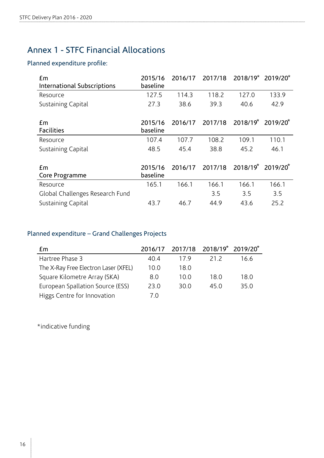# Annex 1 - STFC Financial Allocations

#### Planned expenditure profile:

| £m<br><b>International Subscriptions</b> | 2015/16<br>baseline | 2016/17 | 2017/18 | 2018/19* 2019/20*                         |       |
|------------------------------------------|---------------------|---------|---------|-------------------------------------------|-------|
| Resource                                 | 127.5               | 114.3   | 118.2   | 127.0                                     | 133.9 |
| Sustaining Capital                       | 27.3                | 38.6    | 39.3    | 40.6                                      | 42.9  |
| £m<br><b>Facilities</b>                  | 2015/16<br>baseline | 2016/17 | 2017/18 | $2018/19^{*}$ 2019/20 <sup>*</sup>        |       |
| Resource                                 | 107.4               | 107.7   | 108.2   | 109.1                                     | 110.1 |
| Sustaining Capital                       | 48.5                | 45.4    | 38.8    | 45.2                                      | 46.1  |
| £m<br>Core Programme                     | 2015/16<br>baseline | 2016/17 | 2017/18 | 2018/19 <sup>*</sup> 2019/20 <sup>*</sup> |       |
| Resource                                 | 165.1               | 166.1   | 166.1   | 166.1                                     | 166.1 |
| Global Challenges Research Fund          |                     |         | 3.5     | 3.5                                       | 3.5   |
| Sustaining Capital                       | 43.7                | 46.7    | 44.9    | 43.6                                      | 25.2  |

#### Planned expenditure – Grand Challenges Projects

| £m                                   |      |      | 2016/17 2017/18 2018/19 2019/20 |      |
|--------------------------------------|------|------|---------------------------------|------|
| Hartree Phase 3                      | 40.4 | 179  | 21.2                            | 16.6 |
| The X-Ray Free Electron Laser (XFEL) | 10.0 | 18.0 |                                 |      |
| Square Kilometre Array (SKA)         | 8.0  | 10.0 | 18 O                            | 18.0 |
| European Spallation Source (ESS)     | 23.0 | 30.0 | 45 Q                            | 35.0 |
| Higgs Centre for Innovation          | 7 O  |      |                                 |      |

\*indicative funding

 $\frac{1}{2}$